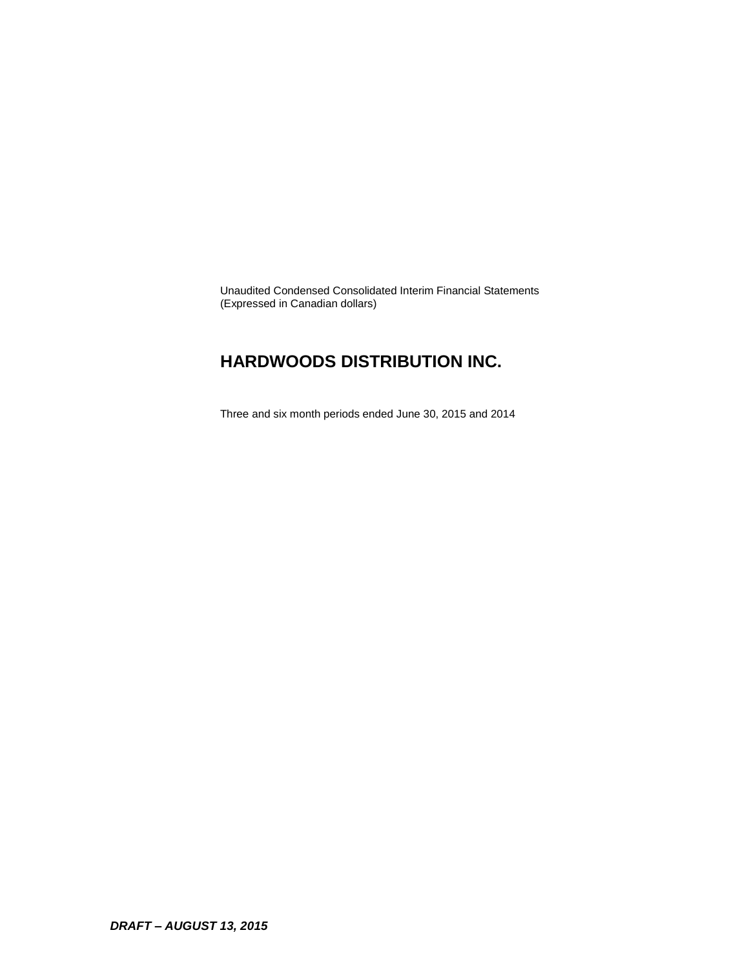Unaudited Condensed Consolidated Interim Financial Statements (Expressed in Canadian dollars)

### **HARDWOODS DISTRIBUTION INC.**

Three and six month periods ended June 30, 2015 and 2014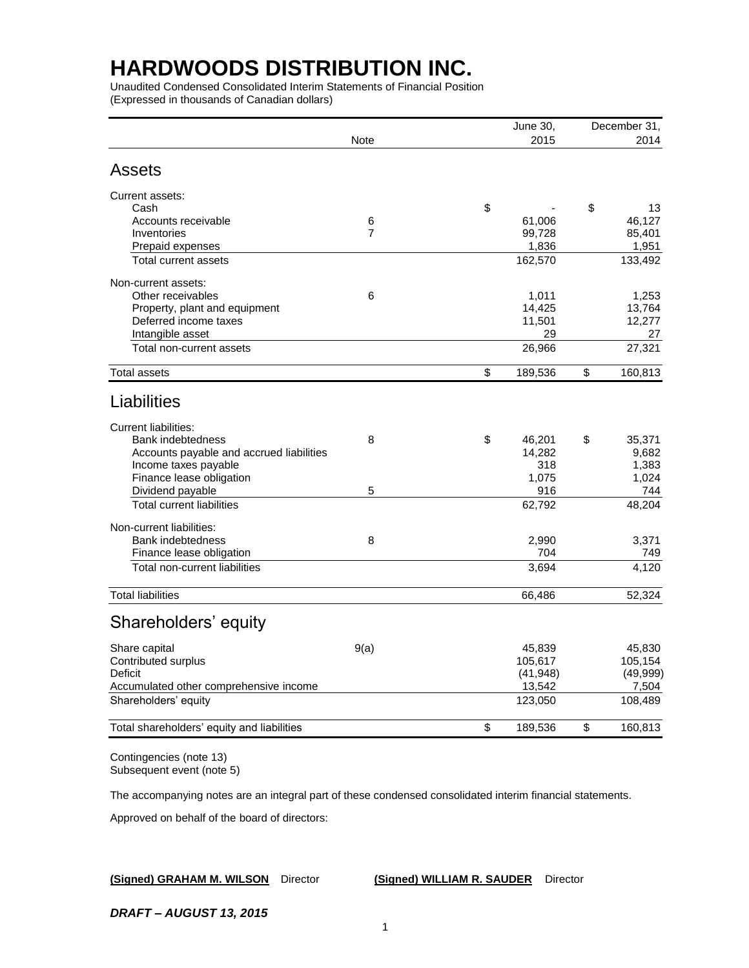Unaudited Condensed Consolidated Interim Statements of Financial Position (Expressed in thousands of Canadian dollars)

|                                            |                | June 30,      | December 31,  |
|--------------------------------------------|----------------|---------------|---------------|
|                                            | Note           | 2015          | 2014          |
| <b>Assets</b>                              |                |               |               |
| Current assets:                            |                |               |               |
| Cash                                       |                | \$            | \$<br>13      |
| Accounts receivable                        | 6              | 61,006        | 46,127        |
| Inventories                                | $\overline{7}$ | 99,728        | 85,401        |
| Prepaid expenses                           |                | 1,836         | 1,951         |
| Total current assets                       |                | 162,570       | 133,492       |
| Non-current assets:                        |                |               |               |
| Other receivables                          | 6              | 1,011         | 1,253         |
| Property, plant and equipment              |                | 14,425        | 13,764        |
| Deferred income taxes                      |                | 11,501        | 12,277        |
| Intangible asset                           |                | 29            | 27            |
| Total non-current assets                   |                | 26,966        | 27,321        |
| <b>Total assets</b>                        |                | \$<br>189,536 | \$<br>160,813 |
| Liabilities                                |                |               |               |
| <b>Current liabilities:</b>                |                |               |               |
| Bank indebtedness                          | 8              | \$<br>46,201  | \$<br>35,371  |
| Accounts payable and accrued liabilities   |                | 14,282        | 9,682         |
| Income taxes payable                       |                | 318           | 1,383         |
| Finance lease obligation                   |                | 1,075         | 1,024         |
| Dividend payable                           | 5              | 916           | 744           |
| <b>Total current liabilities</b>           |                | 62,792        | 48,204        |
| Non-current liabilities:                   |                |               |               |
| <b>Bank indebtedness</b>                   | 8              | 2,990         | 3,371         |
| Finance lease obligation                   |                | 704           | 749           |
| Total non-current liabilities              |                | 3,694         | 4,120         |
| <b>Total liabilities</b>                   |                | 66,486        | 52,324        |
|                                            |                |               |               |
| Shareholders' equity                       |                |               |               |
| Share capital                              | 9(a)           | 45,839        | 45,830        |
| Contributed surplus                        |                | 105,617       | 105,154       |
| Deficit                                    |                | (41, 948)     | (49,999)      |
| Accumulated other comprehensive income     |                | 13,542        | 7,504         |
| Shareholders' equity                       |                | 123,050       | 108,489       |
| Total shareholders' equity and liabilities |                | \$<br>189,536 | \$<br>160,813 |
|                                            |                |               |               |

Contingencies (note 13) Subsequent event (note 5)

The accompanying notes are an integral part of these condensed consolidated interim financial statements.

Approved on behalf of the board of directors:

**(Signed) GRAHAM M. WILSON** Director **(Signed) WILLIAM R. SAUDER** Director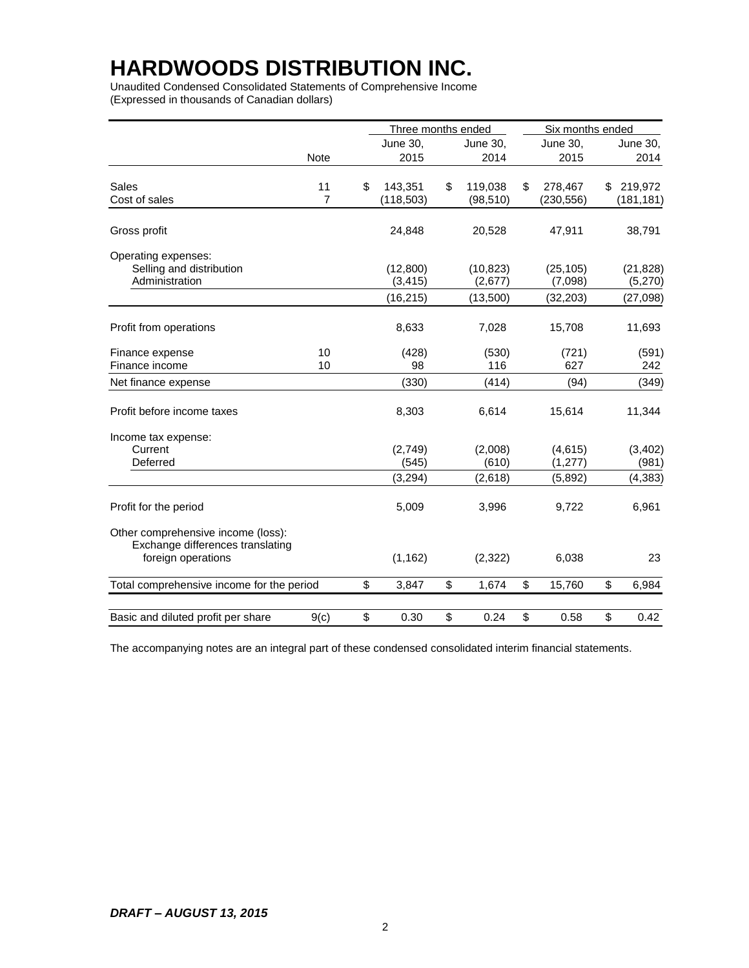Unaudited Condensed Consolidated Statements of Comprehensive Income (Expressed in thousands of Canadian dollars)

|                                           |      | Three months ended |                 | Six months ended |               |
|-------------------------------------------|------|--------------------|-----------------|------------------|---------------|
|                                           |      | June 30,           | <b>June 30,</b> | June 30,         | June 30,      |
|                                           | Note | 2015               | 2014            | 2015             | 2014          |
|                                           |      |                    |                 |                  |               |
| <b>Sales</b>                              | 11   | \$<br>143,351      | \$<br>119,038   | \$<br>278,467    | \$<br>219,972 |
| Cost of sales                             | 7    | (118, 503)         | (98, 510)       | (230, 556)       | (181, 181)    |
| Gross profit                              |      | 24,848             | 20,528          | 47,911           | 38,791        |
| Operating expenses:                       |      |                    |                 |                  |               |
| Selling and distribution                  |      | (12,800)           | (10, 823)       | (25, 105)        | (21, 828)     |
| Administration                            |      | (3, 415)           | (2,677)         | (7,098)          | (5,270)       |
|                                           |      | (16, 215)          | (13,500)        | (32, 203)        | (27, 098)     |
|                                           |      |                    |                 |                  |               |
| Profit from operations                    |      | 8,633              | 7,028           | 15,708           | 11,693        |
| Finance expense                           | 10   | (428)              | (530)           | (721)            | (591)         |
| Finance income                            | 10   | 98                 | 116             | 627              | 242           |
| Net finance expense                       |      | (330)              | (414)           | (94)             | (349)         |
| Profit before income taxes                |      | 8,303              | 6,614           | 15,614           | 11,344        |
| Income tax expense:                       |      |                    |                 |                  |               |
| Current                                   |      | (2,749)            | (2,008)         | (4, 615)         | (3, 402)      |
| Deferred                                  |      | (545)              | (610)           | (1, 277)         | (981)         |
|                                           |      | (3, 294)           | (2,618)         | (5,892)          | (4, 383)      |
| Profit for the period                     |      | 5,009              | 3,996           | 9,722            | 6,961         |
| Other comprehensive income (loss):        |      |                    |                 |                  |               |
| Exchange differences translating          |      |                    |                 |                  |               |
| foreign operations                        |      | (1, 162)           | (2,322)         | 6,038            | 23            |
| Total comprehensive income for the period |      | \$<br>3,847        | \$<br>1,674     | \$<br>15,760     | \$<br>6,984   |
|                                           |      |                    |                 |                  |               |
| Basic and diluted profit per share        | 9(c) | \$<br>0.30         | \$<br>0.24      | \$<br>0.58       | \$<br>0.42    |

The accompanying notes are an integral part of these condensed consolidated interim financial statements.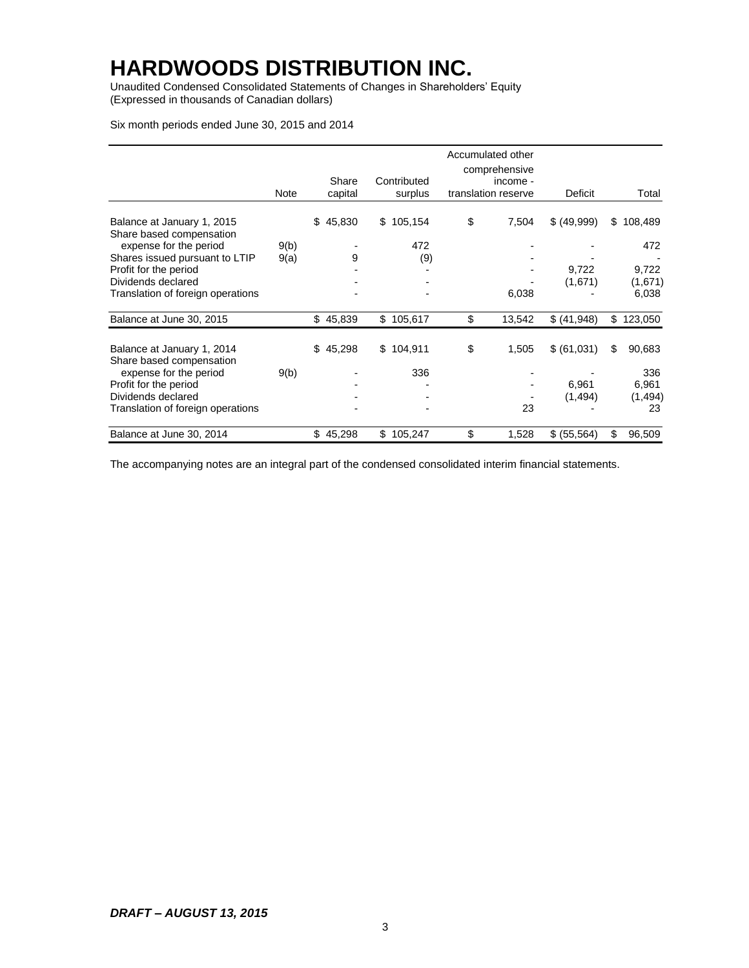Unaudited Condensed Consolidated Statements of Changes in Shareholders' Equity (Expressed in thousands of Canadian dollars)

Six month periods ended June 30, 2015 and 2014

|                                                        |      |                  |                        | Accumulated other<br>comprehensive |              |               |
|--------------------------------------------------------|------|------------------|------------------------|------------------------------------|--------------|---------------|
|                                                        | Note | Share<br>capital | Contributed<br>surplus | income -<br>translation reserve    | Deficit      | Total         |
|                                                        |      |                  |                        |                                    |              |               |
| Balance at January 1, 2015<br>Share based compensation |      | \$<br>45,830     | \$105,154              | \$<br>7,504                        | \$ (49,999)  | \$<br>108,489 |
| expense for the period                                 | 9(b) |                  | 472                    |                                    |              | 472           |
| Shares issued pursuant to LTIP                         | 9(a) | 9                | (9)                    |                                    |              |               |
| Profit for the period                                  |      |                  |                        |                                    | 9,722        | 9,722         |
| Dividends declared                                     |      |                  |                        |                                    | (1,671)      | (1,671)       |
| Translation of foreign operations                      |      |                  |                        | 6,038                              |              | 6,038         |
| Balance at June 30, 2015                               |      | \$45,839         | \$105,617              | \$<br>13,542                       | \$ (41,948)  | \$<br>123,050 |
| Balance at January 1, 2014                             |      | \$45,298         | \$104,911              | \$<br>1,505                        | \$ (61,031)  | \$<br>90,683  |
| Share based compensation<br>expense for the period     | 9(b) |                  | 336                    |                                    |              | 336           |
| Profit for the period                                  |      |                  |                        |                                    | 6,961        | 6,961         |
| Dividends declared                                     |      |                  |                        |                                    | (1, 494)     | (1, 494)      |
| Translation of foreign operations                      |      |                  |                        | 23                                 |              | 23            |
| Balance at June 30, 2014                               |      | \$<br>45,298     | \$105,247              | \$<br>1,528                        | \$ (55, 564) | \$<br>96,509  |

The accompanying notes are an integral part of the condensed consolidated interim financial statements.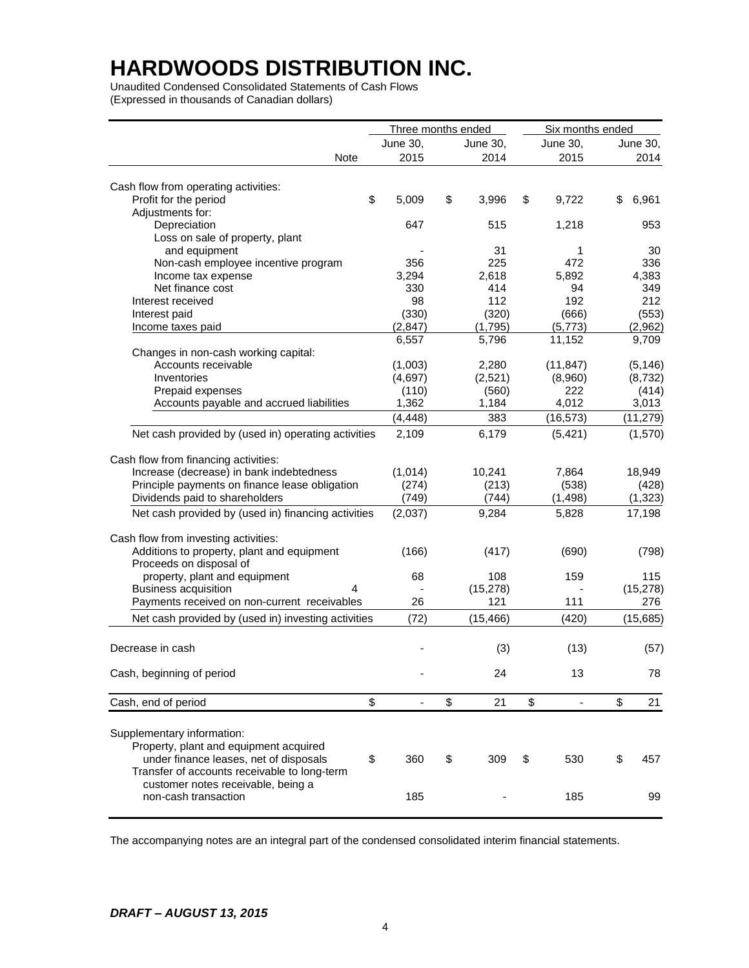Unaudited Condensed Consolidated Statements of Cash Flows (Expressed in thousands of Canadian dollars)

|                                                     | Three months ended |             | Six months ended               |             |
|-----------------------------------------------------|--------------------|-------------|--------------------------------|-------------|
|                                                     | June 30,           | June 30,    | June 30,                       | June 30,    |
| Note                                                | 2015               | 2014        | 2015                           | 2014        |
|                                                     |                    |             |                                |             |
| Cash flow from operating activities:                |                    |             |                                |             |
| Profit for the period                               | \$<br>5,009        | \$<br>3,996 | \$<br>9,722                    | \$<br>6,961 |
| Adjustments for:                                    |                    |             |                                |             |
| Depreciation                                        | 647                | 515         | 1,218                          | 953         |
| Loss on sale of property, plant                     |                    |             |                                |             |
| and equipment                                       |                    | 31          | 1                              | 30          |
| Non-cash employee incentive program                 | 356                | 225         | 472                            | 336         |
| Income tax expense                                  | 3,294              | 2,618       | 5,892                          | 4,383       |
| Net finance cost                                    | 330                | 414         | 94                             | 349         |
| Interest received                                   | 98                 | 112         | 192                            | 212         |
| Interest paid                                       | (330)              | (320)       | (666)                          | (553)       |
| Income taxes paid                                   | (2, 847)           | (1,795)     | (5,773)                        | (2,962)     |
|                                                     | 6,557              | 5,796       | 11,152                         | 9,709       |
| Changes in non-cash working capital:                |                    |             |                                |             |
| Accounts receivable                                 | (1,003)            | 2,280       | (11, 847)                      | (5, 146)    |
| Inventories                                         | (4,697)            | (2,521)     | (8,960)                        | (8, 732)    |
| Prepaid expenses                                    | (110)              | (560)       | 222                            | (414)       |
| Accounts payable and accrued liabilities            | 1,362              | 1,184       | 4,012                          | 3,013       |
|                                                     | (4, 448)           | 383         | (16, 573)                      | (11, 279)   |
| Net cash provided by (used in) operating activities | 2,109              | 6,179       | (5, 421)                       | (1,570)     |
|                                                     |                    |             |                                |             |
| Cash flow from financing activities:                |                    |             |                                |             |
| Increase (decrease) in bank indebtedness            | (1,014)            | 10,241      | 7,864                          | 18,949      |
| Principle payments on finance lease obligation      | (274)              | (213)       | (538)                          | (428)       |
| Dividends paid to shareholders                      | (749)              | (744)       | (1, 498)                       | (1, 323)    |
| Net cash provided by (used in) financing activities | (2,037)            | 9,284       | 5,828                          | 17,198      |
| Cash flow from investing activities:                |                    |             |                                |             |
| Additions to property, plant and equipment          | (166)              | (417)       | (690)                          | (798)       |
| Proceeds on disposal of                             |                    |             |                                |             |
| property, plant and equipment                       | 68                 | 108         | 159                            | 115         |
| <b>Business acquisition</b><br>4                    |                    | (15, 278)   |                                | (15, 278)   |
| Payments received on non-current receivables        | 26                 | 121         | 111                            | 276         |
|                                                     |                    |             |                                |             |
| Net cash provided by (used in) investing activities | (72)               | (15, 466)   | (420)                          | (15,685)    |
| Decrease in cash                                    |                    | (3)         | (13)                           | (57)        |
|                                                     |                    |             |                                |             |
| Cash, beginning of period                           |                    | 24          | 13                             | 78          |
| Cash, end of period                                 | \$                 | \$<br>21    | \$<br>$\overline{\phantom{a}}$ | \$<br>21    |
|                                                     |                    |             |                                |             |
| Supplementary information:                          |                    |             |                                |             |
| Property, plant and equipment acquired              |                    |             |                                |             |
| under finance leases, net of disposals              | \$<br>360          | \$<br>309   | \$<br>530                      | \$<br>457   |
| Transfer of accounts receivable to long-term        |                    |             |                                |             |
| customer notes receivable, being a                  |                    |             |                                |             |
| non-cash transaction                                | 185                |             | 185                            | 99          |
|                                                     |                    |             |                                |             |

The accompanying notes are an integral part of the condensed consolidated interim financial statements.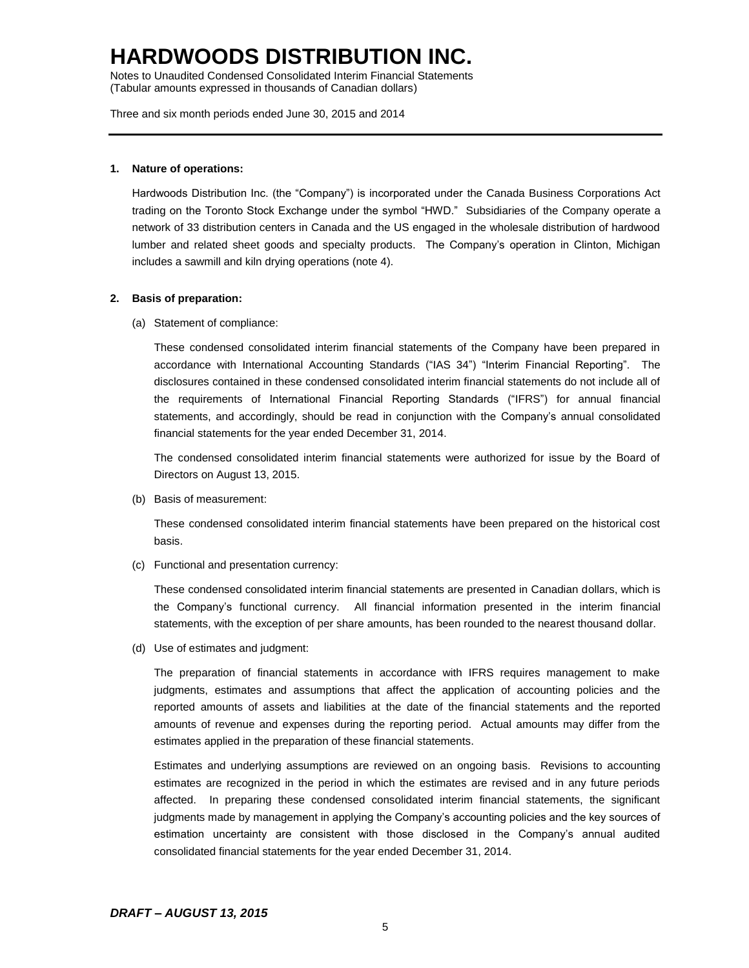Notes to Unaudited Condensed Consolidated Interim Financial Statements (Tabular amounts expressed in thousands of Canadian dollars)

Three and six month periods ended June 30, 2015 and 2014

#### **1. Nature of operations:**

Hardwoods Distribution Inc. (the "Company") is incorporated under the Canada Business Corporations Act trading on the Toronto Stock Exchange under the symbol "HWD." Subsidiaries of the Company operate a network of 33 distribution centers in Canada and the US engaged in the wholesale distribution of hardwood lumber and related sheet goods and specialty products. The Company's operation in Clinton, Michigan includes a sawmill and kiln drying operations (note 4).

#### **2. Basis of preparation:**

(a) Statement of compliance:

These condensed consolidated interim financial statements of the Company have been prepared in accordance with International Accounting Standards ("IAS 34") "Interim Financial Reporting". The disclosures contained in these condensed consolidated interim financial statements do not include all of the requirements of International Financial Reporting Standards ("IFRS") for annual financial statements, and accordingly, should be read in conjunction with the Company's annual consolidated financial statements for the year ended December 31, 2014.

The condensed consolidated interim financial statements were authorized for issue by the Board of Directors on August 13, 2015.

(b) Basis of measurement:

These condensed consolidated interim financial statements have been prepared on the historical cost basis.

(c) Functional and presentation currency:

These condensed consolidated interim financial statements are presented in Canadian dollars, which is the Company's functional currency. All financial information presented in the interim financial statements, with the exception of per share amounts, has been rounded to the nearest thousand dollar.

(d) Use of estimates and judgment:

The preparation of financial statements in accordance with IFRS requires management to make judgments, estimates and assumptions that affect the application of accounting policies and the reported amounts of assets and liabilities at the date of the financial statements and the reported amounts of revenue and expenses during the reporting period. Actual amounts may differ from the estimates applied in the preparation of these financial statements.

Estimates and underlying assumptions are reviewed on an ongoing basis. Revisions to accounting estimates are recognized in the period in which the estimates are revised and in any future periods affected. In preparing these condensed consolidated interim financial statements, the significant judgments made by management in applying the Company's accounting policies and the key sources of estimation uncertainty are consistent with those disclosed in the Company's annual audited consolidated financial statements for the year ended December 31, 2014.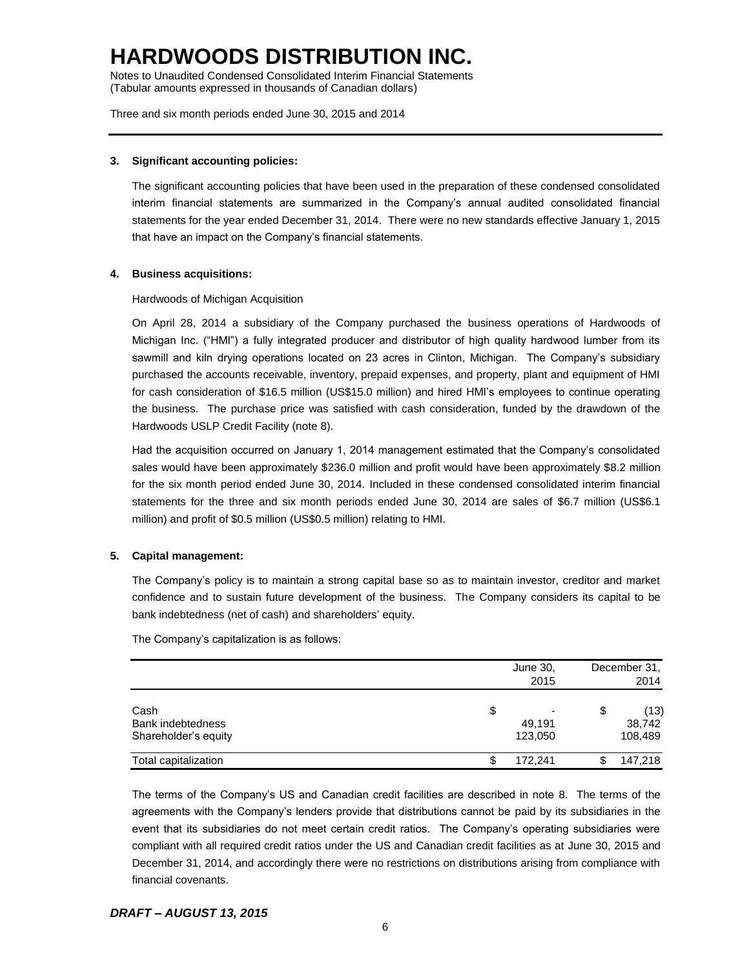Notes to Unaudited Condensed Consolidated Interim Financial Statements (Tabular amounts expressed in thousands of Canadian dollars)

Three and six month periods ended June 30, 2015 and 2014

#### **3. Significant accounting policies:**

The significant accounting policies that have been used in the preparation of these condensed consolidated interim financial statements are summarized in the Company's annual audited consolidated financial statements for the year ended December 31, 2014. There were no new standards effective January 1, 2015 that have an impact on the Company's financial statements.

#### **4. Business acquisitions:**

Hardwoods of Michigan Acquisition

On April 28, 2014 a subsidiary of the Company purchased the business operations of Hardwoods of Michigan Inc. ("HMI") a fully integrated producer and distributor of high quality hardwood lumber from its sawmill and kiln drying operations located on 23 acres in Clinton, Michigan. The Company's subsidiary purchased the accounts receivable, inventory, prepaid expenses, and property, plant and equipment of HMI for cash consideration of \$16.5 million (US\$15.0 million) and hired HMI's employees to continue operating the business. The purchase price was satisfied with cash consideration, funded by the drawdown of the Hardwoods USLP Credit Facility (note 8).

Had the acquisition occurred on January 1, 2014 management estimated that the Company's consolidated sales would have been approximately \$236.0 million and profit would have been approximately \$8.2 million for the six month period ended June 30, 2014. Included in these condensed consolidated interim financial statements for the three and six month periods ended June 30, 2014 are sales of \$6.7 million (US\$6.1 million) and profit of \$0.5 million (US\$0.5 million) relating to HMI.

#### **5. Capital management:**

The Company's policy is to maintain a strong capital base so as to maintain investor, creditor and market confidence and to sustain future development of the business. The Company considers its capital to be bank indebtedness (net of cash) and shareholders' equity.

The Company's capitalization is as follows:

|                      | June 30,<br>2015               | December 31.<br>2014 |
|----------------------|--------------------------------|----------------------|
| Cash                 | \$<br>$\overline{\phantom{0}}$ | \$<br>(13)           |
| Bank indebtedness    | 49.191                         | 38,742               |
| Shareholder's equity | 123,050                        | 108,489              |
| Total capitalization | \$<br>172,241                  | 147,218              |

The terms of the Company's US and Canadian credit facilities are described in note 8. The terms of the agreements with the Company's lenders provide that distributions cannot be paid by its subsidiaries in the event that its subsidiaries do not meet certain credit ratios. The Company's operating subsidiaries were compliant with all required credit ratios under the US and Canadian credit facilities as at June 30, 2015 and December 31, 2014, and accordingly there were no restrictions on distributions arising from compliance with financial covenants.

#### *DRAFT – AUGUST 13, 2015*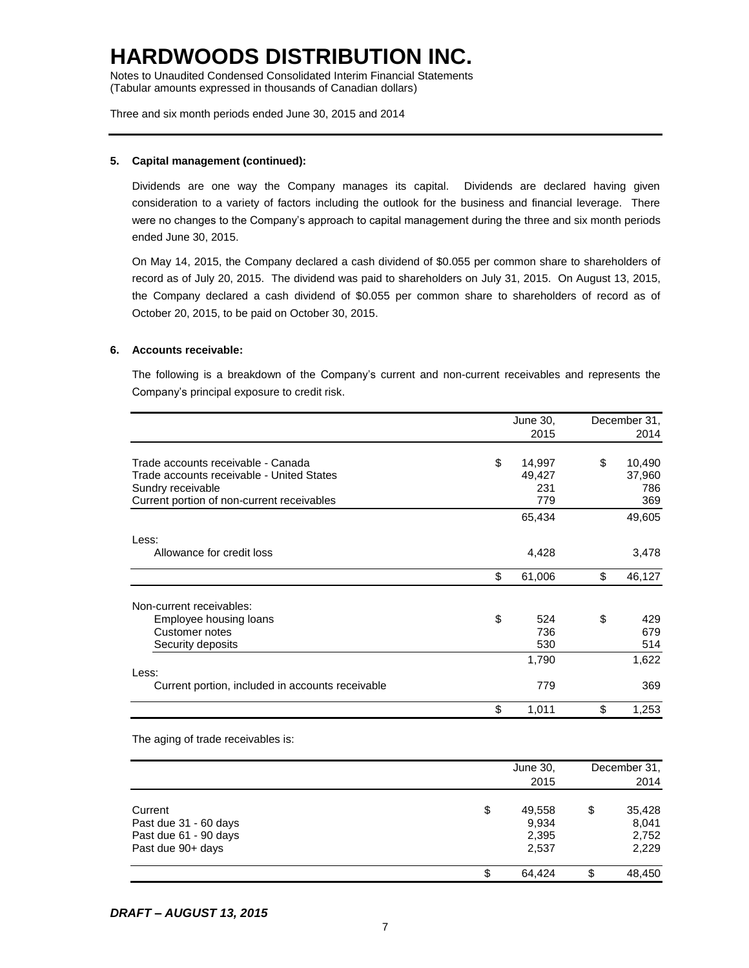Notes to Unaudited Condensed Consolidated Interim Financial Statements (Tabular amounts expressed in thousands of Canadian dollars)

Three and six month periods ended June 30, 2015 and 2014

#### **5. Capital management (continued):**

Dividends are one way the Company manages its capital. Dividends are declared having given consideration to a variety of factors including the outlook for the business and financial leverage. There were no changes to the Company's approach to capital management during the three and six month periods ended June 30, 2015.

On May 14, 2015, the Company declared a cash dividend of \$0.055 per common share to shareholders of record as of July 20, 2015. The dividend was paid to shareholders on July 31, 2015. On August 13, 2015, the Company declared a cash dividend of \$0.055 per common share to shareholders of record as of October 20, 2015, to be paid on October 30, 2015.

#### **6. Accounts receivable:**

The following is a breakdown of the Company's current and non-current receivables and represents the Company's principal exposure to credit risk.

|                                                  | June 30,     | December 31, |
|--------------------------------------------------|--------------|--------------|
|                                                  | 2015         | 2014         |
| Trade accounts receivable - Canada               | \$<br>14,997 | \$<br>10,490 |
| Trade accounts receivable - United States        | 49,427       | 37,960       |
| Sundry receivable                                | 231          | 786          |
| Current portion of non-current receivables       | 779          | 369          |
|                                                  | 65,434       | 49,605       |
| Less:                                            |              |              |
| Allowance for credit loss                        | 4,428        | 3,478        |
|                                                  | \$<br>61,006 | \$<br>46,127 |
| Non-current receivables:                         |              |              |
| Employee housing loans                           | \$<br>524    | \$<br>429    |
| Customer notes                                   | 736          | 679          |
| Security deposits                                | 530          | 514          |
|                                                  | 1,790        | 1,622        |
| Less:                                            |              |              |
| Current portion, included in accounts receivable | 779          | 369          |
|                                                  | \$<br>1,011  | \$<br>1,253  |

The aging of trade receivables is:

|                                                                                | June 30,<br>2015                        |    | December 31,<br>2014              |
|--------------------------------------------------------------------------------|-----------------------------------------|----|-----------------------------------|
| Current<br>Past due 31 - 60 days<br>Past due 61 - 90 days<br>Past due 90+ days | \$<br>49,558<br>9,934<br>2,395<br>2,537 | \$ | 35,428<br>8,041<br>2,752<br>2,229 |
|                                                                                | \$<br>64.424                            | S  | 48,450                            |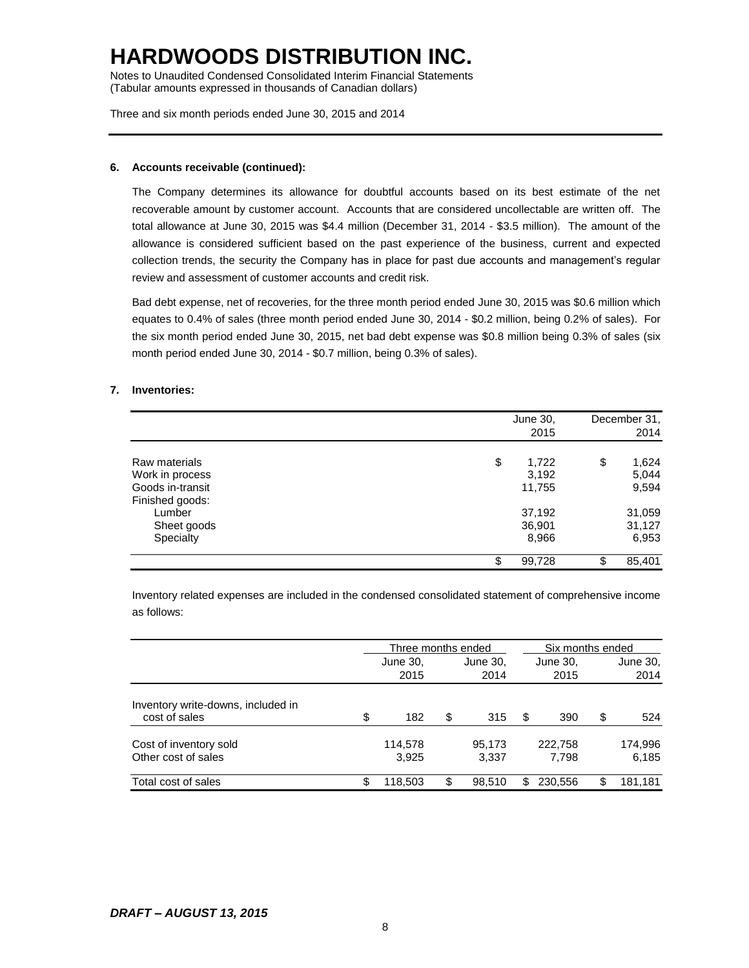Notes to Unaudited Condensed Consolidated Interim Financial Statements (Tabular amounts expressed in thousands of Canadian dollars)

Three and six month periods ended June 30, 2015 and 2014

#### **6. Accounts receivable (continued):**

The Company determines its allowance for doubtful accounts based on its best estimate of the net recoverable amount by customer account. Accounts that are considered uncollectable are written off. The total allowance at June 30, 2015 was \$4.4 million (December 31, 2014 - \$3.5 million). The amount of the allowance is considered sufficient based on the past experience of the business, current and expected collection trends, the security the Company has in place for past due accounts and management's regular review and assessment of customer accounts and credit risk.

Bad debt expense, net of recoveries, for the three month period ended June 30, 2015 was \$0.6 million which equates to 0.4% of sales (three month period ended June 30, 2014 - \$0.2 million, being 0.2% of sales). For the six month period ended June 30, 2015, net bad debt expense was \$0.8 million being 0.3% of sales (six month period ended June 30, 2014 - \$0.7 million, being 0.3% of sales).

#### **7. Inventories:**

|                  | June 30,    | December 31. |  |
|------------------|-------------|--------------|--|
|                  | 2015        | 2014         |  |
| Raw materials    | \$<br>1,722 | \$<br>1,624  |  |
| Work in process  | 3,192       | 5,044        |  |
| Goods in-transit | 11,755      | 9,594        |  |
| Finished goods:  |             |              |  |
| Lumber           | 37,192      | 31,059       |  |
| Sheet goods      | 36,901      | 31,127       |  |
| Specialty        | 8,966       | 6,953        |  |
|                  | 99,728      | \$<br>85,401 |  |

Inventory related expenses are included in the condensed consolidated statement of comprehensive income as follows:

|                                                     |    | Three months ended |    |                 |     | Six months ended |    |                  |
|-----------------------------------------------------|----|--------------------|----|-----------------|-----|------------------|----|------------------|
|                                                     |    | June 30,           |    | June 30,        |     | June 30,         |    | June 30,         |
|                                                     |    | 2015               |    | 2014            |     | 2015             |    | 2014             |
| Inventory write-downs, included in<br>cost of sales | \$ | 182                | \$ | 315             | S   | 390              | \$ | 524              |
| Cost of inventory sold<br>Other cost of sales       |    | 114,578<br>3.925   |    | 95,173<br>3.337 |     | 222.758<br>7.798 |    | 174,996<br>6.185 |
| Total cost of sales                                 | S. | 118,503            | \$ | 98.510          | \$. | 230,556          | \$ | 181,181          |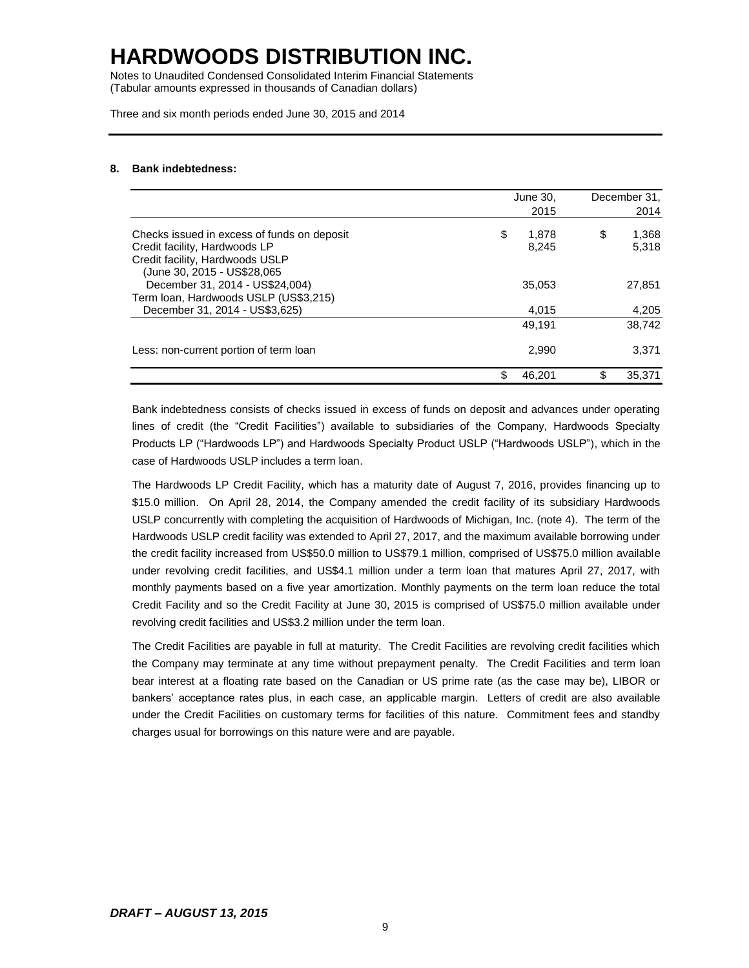Notes to Unaudited Condensed Consolidated Interim Financial Statements (Tabular amounts expressed in thousands of Canadian dollars)

Three and six month periods ended June 30, 2015 and 2014

#### **8. Bank indebtedness:**

|                                                                                                                                                 | June 30,<br>2015     | December 31,<br>2014 |
|-------------------------------------------------------------------------------------------------------------------------------------------------|----------------------|----------------------|
| Checks issued in excess of funds on deposit<br>Credit facility, Hardwoods LP<br>Credit facility, Hardwoods USLP<br>(June 30, 2015 - US\$28,065) | \$<br>1.878<br>8,245 | \$<br>1,368<br>5,318 |
| December 31, 2014 - US\$24,004)<br>Term Ioan, Hardwoods USLP (US\$3,215)                                                                        | 35,053               | 27,851               |
| December 31, 2014 - US\$3,625)                                                                                                                  | 4,015                | 4,205                |
|                                                                                                                                                 | 49.191               | 38.742               |
| Less: non-current portion of term loan                                                                                                          | 2,990                | 3,371                |
|                                                                                                                                                 | \$<br>46.201         | \$<br>35.371         |

Bank indebtedness consists of checks issued in excess of funds on deposit and advances under operating lines of credit (the "Credit Facilities") available to subsidiaries of the Company, Hardwoods Specialty Products LP ("Hardwoods LP") and Hardwoods Specialty Product USLP ("Hardwoods USLP"), which in the case of Hardwoods USLP includes a term loan.

The Hardwoods LP Credit Facility, which has a maturity date of August 7, 2016, provides financing up to \$15.0 million. On April 28, 2014, the Company amended the credit facility of its subsidiary Hardwoods USLP concurrently with completing the acquisition of Hardwoods of Michigan, Inc. (note 4). The term of the Hardwoods USLP credit facility was extended to April 27, 2017, and the maximum available borrowing under the credit facility increased from US\$50.0 million to US\$79.1 million, comprised of US\$75.0 million available under revolving credit facilities, and US\$4.1 million under a term loan that matures April 27, 2017, with monthly payments based on a five year amortization. Monthly payments on the term loan reduce the total Credit Facility and so the Credit Facility at June 30, 2015 is comprised of US\$75.0 million available under revolving credit facilities and US\$3.2 million under the term loan.

The Credit Facilities are payable in full at maturity. The Credit Facilities are revolving credit facilities which the Company may terminate at any time without prepayment penalty. The Credit Facilities and term loan bear interest at a floating rate based on the Canadian or US prime rate (as the case may be), LIBOR or bankers' acceptance rates plus, in each case, an applicable margin. Letters of credit are also available under the Credit Facilities on customary terms for facilities of this nature. Commitment fees and standby charges usual for borrowings on this nature were and are payable.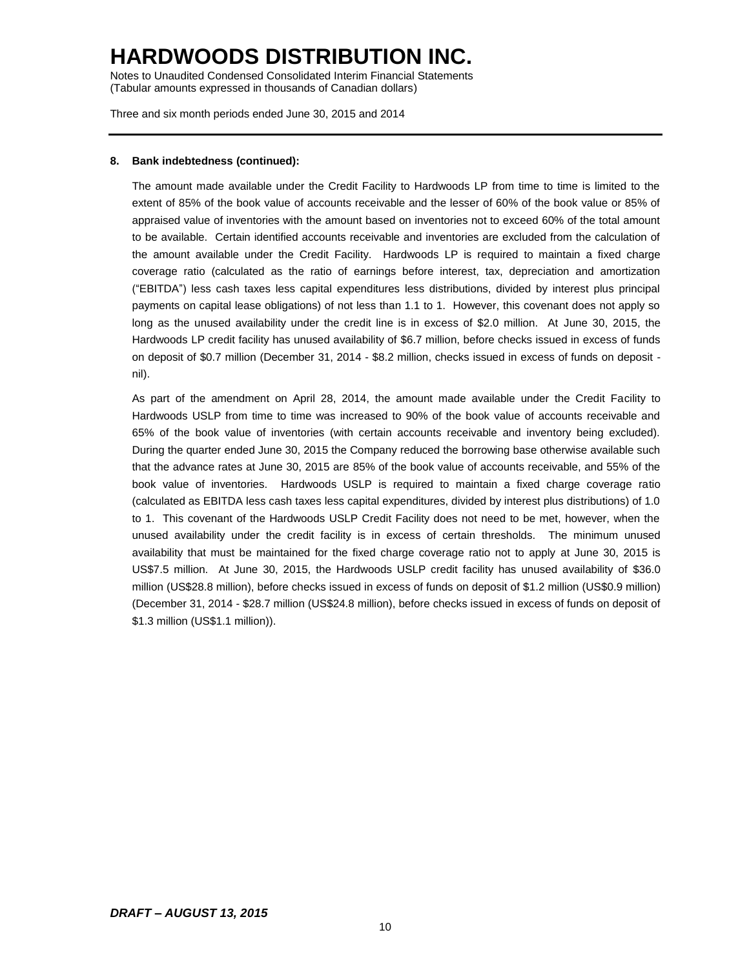Notes to Unaudited Condensed Consolidated Interim Financial Statements (Tabular amounts expressed in thousands of Canadian dollars)

Three and six month periods ended June 30, 2015 and 2014

#### **8. Bank indebtedness (continued):**

The amount made available under the Credit Facility to Hardwoods LP from time to time is limited to the extent of 85% of the book value of accounts receivable and the lesser of 60% of the book value or 85% of appraised value of inventories with the amount based on inventories not to exceed 60% of the total amount to be available. Certain identified accounts receivable and inventories are excluded from the calculation of the amount available under the Credit Facility. Hardwoods LP is required to maintain a fixed charge coverage ratio (calculated as the ratio of earnings before interest, tax, depreciation and amortization ("EBITDA") less cash taxes less capital expenditures less distributions, divided by interest plus principal payments on capital lease obligations) of not less than 1.1 to 1. However, this covenant does not apply so long as the unused availability under the credit line is in excess of \$2.0 million. At June 30, 2015, the Hardwoods LP credit facility has unused availability of \$6.7 million, before checks issued in excess of funds on deposit of \$0.7 million (December 31, 2014 - \$8.2 million, checks issued in excess of funds on deposit nil).

As part of the amendment on April 28, 2014, the amount made available under the Credit Facility to Hardwoods USLP from time to time was increased to 90% of the book value of accounts receivable and 65% of the book value of inventories (with certain accounts receivable and inventory being excluded). During the quarter ended June 30, 2015 the Company reduced the borrowing base otherwise available such that the advance rates at June 30, 2015 are 85% of the book value of accounts receivable, and 55% of the book value of inventories. Hardwoods USLP is required to maintain a fixed charge coverage ratio (calculated as EBITDA less cash taxes less capital expenditures, divided by interest plus distributions) of 1.0 to 1. This covenant of the Hardwoods USLP Credit Facility does not need to be met, however, when the unused availability under the credit facility is in excess of certain thresholds. The minimum unused availability that must be maintained for the fixed charge coverage ratio not to apply at June 30, 2015 is US\$7.5 million. At June 30, 2015, the Hardwoods USLP credit facility has unused availability of \$36.0 million (US\$28.8 million), before checks issued in excess of funds on deposit of \$1.2 million (US\$0.9 million) (December 31, 2014 - \$28.7 million (US\$24.8 million), before checks issued in excess of funds on deposit of \$1.3 million (US\$1.1 million)).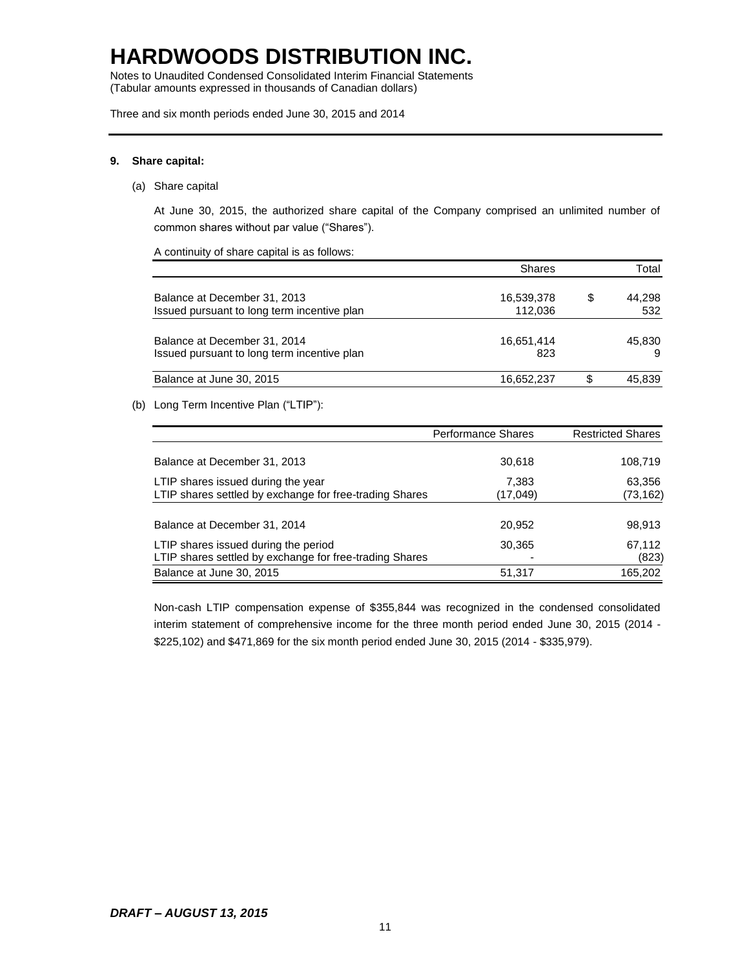Notes to Unaudited Condensed Consolidated Interim Financial Statements (Tabular amounts expressed in thousands of Canadian dollars)

Three and six month periods ended June 30, 2015 and 2014

#### **9. Share capital:**

(a) Share capital

At June 30, 2015, the authorized share capital of the Company comprised an unlimited number of common shares without par value ("Shares").

A continuity of share capital is as follows:

|                                             | <b>Shares</b> |    | Total  |
|---------------------------------------------|---------------|----|--------|
| Balance at December 31, 2013                | 16,539,378    | \$ | 44,298 |
| Issued pursuant to long term incentive plan | 112.036       |    | 532    |
| Balance at December 31, 2014                | 16,651,414    |    | 45.830 |
| Issued pursuant to long term incentive plan | 823           |    | 9      |
| Balance at June 30, 2015                    | 16,652,237    | S  | 45,839 |

(b) Long Term Incentive Plan ("LTIP"):

|                                                                                                 | <b>Performance Shares</b> | <b>Restricted Shares</b> |
|-------------------------------------------------------------------------------------------------|---------------------------|--------------------------|
| Balance at December 31, 2013                                                                    | 30,618                    | 108,719                  |
| LTIP shares issued during the year<br>LTIP shares settled by exchange for free-trading Shares   | 7,383<br>(17,049)         | 63,356<br>(73, 162)      |
| Balance at December 31, 2014                                                                    | 20.952                    | 98,913                   |
| LTIP shares issued during the period<br>LTIP shares settled by exchange for free-trading Shares | 30,365<br>۰               | 67,112<br>(823)          |
| Balance at June 30, 2015                                                                        | 51,317                    | 165,202                  |

Non-cash LTIP compensation expense of \$355,844 was recognized in the condensed consolidated interim statement of comprehensive income for the three month period ended June 30, 2015 (2014 - \$225,102) and \$471,869 for the six month period ended June 30, 2015 (2014 - \$335,979).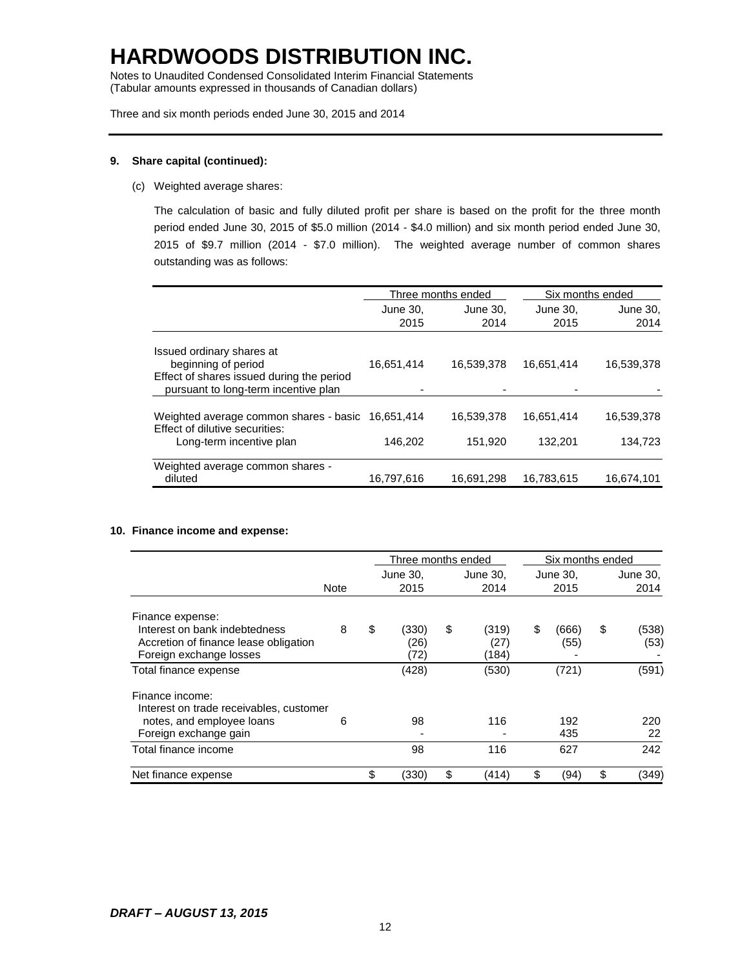Notes to Unaudited Condensed Consolidated Interim Financial Statements (Tabular amounts expressed in thousands of Canadian dollars)

Three and six month periods ended June 30, 2015 and 2014

#### **9. Share capital (continued):**

(c) Weighted average shares:

The calculation of basic and fully diluted profit per share is based on the profit for the three month period ended June 30, 2015 of \$5.0 million (2014 - \$4.0 million) and six month period ended June 30, 2015 of \$9.7 million (2014 - \$7.0 million). The weighted average number of common shares outstanding was as follows:

|                                                                                                                 |            | Three months ended | Six months ended |            |  |  |
|-----------------------------------------------------------------------------------------------------------------|------------|--------------------|------------------|------------|--|--|
|                                                                                                                 | June 30.   | June 30.           | June 30,         | June 30,   |  |  |
|                                                                                                                 | 2015       | 2014               | 2015             | 2014       |  |  |
| Issued ordinary shares at                                                                                       |            |                    |                  |            |  |  |
| beginning of period                                                                                             | 16,651,414 | 16,539,378         | 16,651,414       | 16,539,378 |  |  |
| Effect of shares issued during the period<br>pursuant to long-term incentive plan                               |            |                    |                  |            |  |  |
|                                                                                                                 |            |                    |                  |            |  |  |
| Weighted average common shares - basic 16,651,414<br>Effect of dilutive securities:<br>Long-term incentive plan |            | 16,539,378         | 16,651,414       | 16,539,378 |  |  |
|                                                                                                                 | 146,202    | 151,920            | 132.201          | 134,723    |  |  |
| Weighted average common shares -                                                                                |            |                    |                  |            |  |  |
| diluted                                                                                                         | 16,797,616 | 16,691,298         | 16,783,615       | 16,674,101 |  |  |

#### **10. Finance income and expense:**

|                                                                                                   |             | Three months ended |                       |    |                        | Six months ended |               |    |               |
|---------------------------------------------------------------------------------------------------|-------------|--------------------|-----------------------|----|------------------------|------------------|---------------|----|---------------|
|                                                                                                   |             |                    | June 30,              |    | June 30,               |                  | June 30,      |    | June 30,      |
|                                                                                                   | <b>Note</b> |                    | 2015                  |    | 2014                   |                  | 2015          |    | 2014          |
| Finance expense:                                                                                  |             |                    |                       |    |                        |                  |               |    |               |
| Interest on bank indebtedness<br>Accretion of finance lease obligation<br>Foreign exchange losses | 8           | \$                 | (330)<br>(26)<br>(72) | \$ | (319)<br>(27)<br>(184) | \$               | (666)<br>(55) | \$ | (538)<br>(53) |
| Total finance expense                                                                             |             |                    | (428)                 |    | (530)                  |                  | (721)         |    | (591)         |
| Finance income:<br>Interest on trade receivables, customer                                        |             |                    |                       |    |                        |                  |               |    |               |
| notes, and employee loans<br>Foreign exchange gain                                                | 6           |                    | 98                    |    | 116                    |                  | 192<br>435    |    | 220<br>22     |
| Total finance income                                                                              |             |                    | 98                    |    | 116                    |                  | 627           |    | 242           |
| Net finance expense                                                                               |             | \$                 | (330)                 | \$ | (414)                  |                  | (94)          | \$ | (349)         |